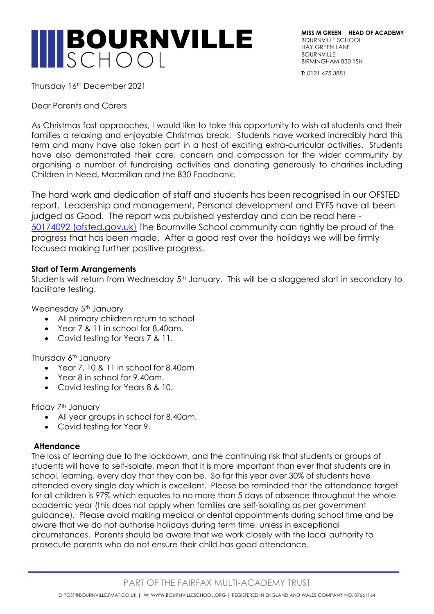

**MISS M GREEN | HEAD OF ACADEMY** BOURNVILLE SCHOOL HAY GREEN LANE **BOURNVILLE** BIRMINGHAM B30 1SH

**T:** 0121 475 3881

Thursday 16th December 2021

Dear Parents and Carers

As Christmas fast approaches, I would like to take this opportunity to wish all students and their families a relaxing and enjoyable Christmas break. Students have worked incredibly hard this term and many have also taken part in a host of exciting extra-curricular activities. Students have also demonstrated their care, concern and compassion for the wider community by organising a number of fundraising activities and donating generously to charities including Children in Need, Macmillan and the B30 Foodbank.

The hard work and dedication of staff and students has been recognised in our OFSTED report. Leadership and management, Personal development and EYFS have all been judged as Good. The report was published yesterday and can be read here - [50174092 \(ofsted.gov.uk\)](https://files.ofsted.gov.uk/v1/file/50174092) The Bournville School community can rightly be proud of the progress that has been made. After a good rest over the holidays we will be firmly focused making further positive progress.

### **Start of Term Arrangements**

Students will return from Wednesday 5<sup>th</sup> January. This will be a staggered start in secondary to facilitate testing.

Wednesday 5<sup>th</sup> January

- All primary children return to school
- Year 7 & 11 in school for 8.40am.
- Covid testing for Years 7 & 11.

Thursday 6<sup>th</sup> January

- Year 7, 10 & 11 in school for 8.40am
- Year 8 in school for 9.40am.
- Covid testing for Years 8 & 10.

Friday 7<sup>th</sup> January

- All year groups in school for 8.40am.
- Covid testing for Year 9.

# **Attendance**

The loss of learning due to the lockdown, and the continuing risk that students or groups of students will have to self-isolate, mean that it is more important than ever that students are in school, learning, every day that they can be. So far this year over 30% of students have attended every single day which is excellent. Please be reminded that the attendance target for all children is 97% which equates to no more than 5 days of absence throughout the whole academic year (this does not apply when families are self-isolating as per government guidance). Please avoid making medical or dental appointments during school time and be aware that we do not authorise holidays during term time, unless in exceptional circumstances. Parents should be aware that we work closely with the local authority to prosecute parents who do not ensure their child has good attendance.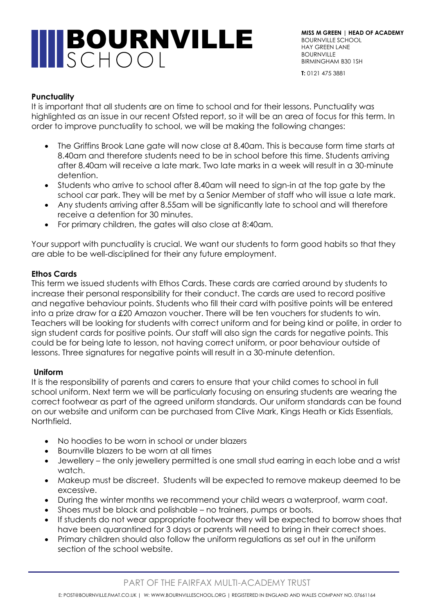# **INBOURNVILLE**

**MISS M GREEN | HEAD OF ACADEMY** BOURNVILLE SCHOOL HAY GREEN LANE **BOURNVILLE** BIRMINGHAM B30 1SH

**T:** 0121 475 3881

### **Punctuality**

It is important that all students are on time to school and for their lessons. Punctuality was highlighted as an issue in our recent Ofsted report, so it will be an area of focus for this term. In order to improve punctuality to school, we will be making the following changes:

- The Griffins Brook Lane gate will now close at 8.40am. This is because form time starts at 8.40am and therefore students need to be in school before this time. Students arriving after 8.40am will receive a late mark. Two late marks in a week will result in a 30-minute detention.
- Students who arrive to school after 8.40am will need to sign-in at the top gate by the school car park. They will be met by a Senior Member of staff who will issue a late mark.
- Any students arriving after 8.55am will be significantly late to school and will therefore receive a detention for 30 minutes.
- For primary children, the gates will also close at 8:40am.

Your support with punctuality is crucial. We want our students to form good habits so that they are able to be well-disciplined for their any future employment.

## **Ethos Cards**

This term we issued students with Ethos Cards. These cards are carried around by students to increase their personal responsibility for their conduct. The cards are used to record positive and negative behaviour points. Students who fill their card with positive points will be entered into a prize draw for a £20 Amazon voucher. There will be ten vouchers for students to win. Teachers will be looking for students with correct uniform and for being kind or polite, in order to sign student cards for positive points. Our staff will also sign the cards for negative points. This could be for being late to lesson, not having correct uniform, or poor behaviour outside of lessons. Three signatures for negative points will result in a 30-minute detention.

### **Uniform**

It is the responsibility of parents and carers to ensure that your child comes to school in full school uniform. Next term we will be particularly focusing on ensuring students are wearing the correct footwear as part of the agreed uniform standards. Our uniform standards can be found on our website and uniform can be purchased from Clive Mark, Kings Heath or Kids Essentials, Northfield.

- No hoodies to be worn in school or under blazers
- Bournville blazers to be worn at all times
- Jewellery the only jewellery permitted is one small stud earring in each lobe and a wrist watch.
- Makeup must be discreet. Students will be expected to remove makeup deemed to be excessive.
- During the winter months we recommend your child wears a waterproof, warm coat.
- Shoes must be black and polishable no trainers, pumps or boots.
- If students do not wear appropriate footwear they will be expected to borrow shoes that have been quarantined for 3 days or parents will need to bring in their correct shoes.
- Primary children should also follow the uniform regulations as set out in the uniform section of the school website.